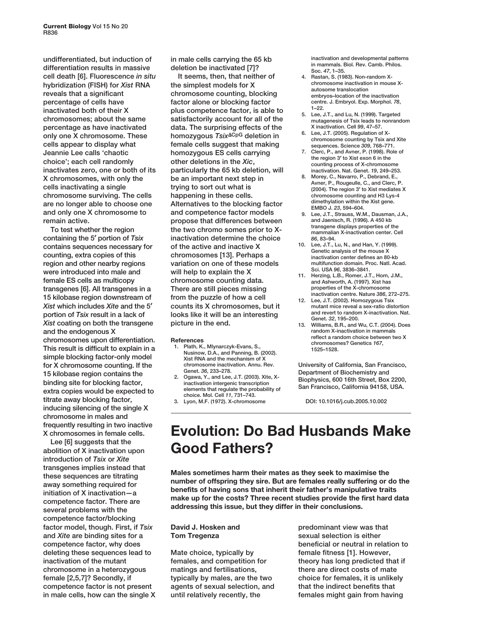**undifferentiated, but induction of differentiation results in massive cell death [6]. Fluorescence** *in situ* **hybridization (FISH) for** *Xist* **RNA reveals that a significant percentage of cells have inactivated both of their X chromosomes; about the same percentage as have inactivated only one X chromosome. These cells appear to display what Jeannie Lee calls 'chaotic choice'; each cell randomly inactivates zero, one or both of its X chromosomes, with only the cells inactivating a single chromosome surviving. The cells are no longer able to choose one and only one X chromosome to remain active.**

**To test whether the region containing the 5**′ **portion of** *Tsix* **contains sequences necessary for counting, extra copies of this region and other nearby regions were introduced into male and female ES cells as multicopy transgenes [6]. All transgenes in a 15 kilobase region downstream of** *Xist* **which includes** *Xite* **and the 5**′ **portion of** *Tsix* **result in a lack of** *Xist* **coating on both the transgene and the endogenous X chromosomes upon differentiation. This result is difficult to explain in a simple blocking factor-only model for X chromosome counting. If the 15 kilobase region contains the binding site for blocking factor, extra copies would be expected to titrate away blocking factor, inducing silencing of the single X chromosome in males and frequently resulting in two inactive X chromosomes in female cells.**

**Lee [6] suggests that the abolition of X inactivation upon introduction of** *Tsix* **or** *Xite* **transgenes implies instead that these sequences are titrating away something required for initiation of X inactivation—a competence factor. There are several problems with the competence factor/blocking factor model, though. First, if** *Tsix* **and** *Xite* **are binding sites for a competence factor, why does deleting these sequences lead to inactivation of the mutant chromosome in a heterozygous female [2,5,7]? Secondly, if competence factor is not present in male cells, how can the single X** **in male cells carrying the 65 kb deletion be inactivated [7]?**

**It seems, then, that neither of the simplest models for X chromosome counting, blocking factor alone or blocking factor plus competence factor, is able to satisfactorily account for all of the data. The surprising effects of the homozygous** *Tsix*∆**CpG deletion in female cells suggest that making homozygous ES cells carrying other deletions in the** *Xic***, particularly the 65 kb deletion, will be an important next step in trying to sort out what is happening in these cells. Alternatives to the blocking factor and competence factor models propose that differences between the two chromo somes prior to Xinactivation determine the choice of the active and inactive X chromosomes [13]. Perhaps a variation on one of these models will help to explain the X chromosome counting data. There are still pieces missing from the puzzle of how a cell counts its X chromosomes, but it looks like it will be an interesting picture in the end.**

## **References**

- **1. Plath, K., Mlynarczyk-Evans, S., Nusinow, D.A., and Panning, B. (2002). Xist RNA and the mechanism of X chromosome inactivation. Annu. Rev. Genet.** *36***, 233–278.**
- **2. Ogawa, Y., and Lee, J.T. (2003). Xite, Xinactivation intergenic transcription elements that regulate the probability of choice. Mol. Cell** *11***, 731–743.**
- **3. Lyon, M.F. (1972). X-chromosome**

**inactivation and developmental patterns in mammals. Biol. Rev. Camb. Philos. Soc.** *47***, 1–35.**

- **4. Rastan, S. (1983). Non-random Xchromosome inactivation in mouse Xautosome translocation embryos–location of the inactivation centre. J. Embryol. Exp. Morphol.** *78***, 1–22.**
- **5. Lee, J.T., and Lu, N. (1999). Targeted mutagenesis of Tsix leads to nonrandom X inactivation. Cell** *99***, 47–57.**
- **6. Lee, J.T. (2005). Regulation of Xchromosome counting by Tsix and Xite sequences. Science** *309***, 768–771.**
- **7. Clerc, P., and Avner, P. (1998). Role of the region 3**′ **to Xist exon 6 in the counting process of X-chromosome inactivation. Nat. Genet.** *19***, 249–253.**
- **8. Morey, C., Navarro, P., Debrand, E., Avner, P., Rougeulle, C., and Clerc, P. (2004). The region 3**′ **to Xist mediates X chromosome counting and H3 Lys-4 dimethylation within the Xist gene. EMBO J.** *23***, 594–604.**
- **9. Lee, J.T., Strauss, W.M., Dausman, J.A., and Jaenisch, R. (1996). A 450 kb transgene displays properties of the mammalian X-inactivation center. Cell** *86***, 83–94.**
- **10. Lee, J.T., Lu, N., and Han, Y. (1999). Genetic analysis of the mouse X inactivation center defines an 80-kb multifunction domain. Proc. Natl. Acad. Sci. USA** *96***, 3836–3841.**
- **11. Herzing, L.B., Romer, J.T., Horn, J.M., and Ashworth, A. (1997). Xist has properties of the X-chromosome inactivation centre. Nature** *386***, 272–275.**
- **12. Lee, J.T. (2002). Homozygous Tsix mutant mice reveal a sex-ratio distortion and revert to random X-inactivation. Nat. Genet.** *32***, 195–200.**
- **13. Williams, B.R., and Wu, C.T. (2004). Does random X-inactivation in mammals reflect a random choice between two X chromosomes? Genetics** *167***, 1525–1528.**

**University of California, San Francisco, Department of Biochemistry and Biophysics, 600 16th Street, Box 2200, San Francisco, California 94158, USA.**

**DOI: 10.1016/j.cub.2005.10.002**

## **Evolution: Do Bad Husbands Make Good Fathers?**

**Males sometimes harm their mates as they seek to maximise the number of offspring they sire. But are females really suffering or do the benefits of having sons that inherit their father's manipulative traits make up for the costs? Three recent studies provide the first hard data addressing this issue, but they differ in their conclusions.**

## **David J. Hosken and Tom Tregenza**

**Mate choice, typically by females, and competition for matings and fertilisations, typically by males, are the two agents of sexual selection, and until relatively recently, the**

**predominant view was that sexual selection is either beneficial or neutral in relation to female fitness [1]. However, theory has long predicted that if there are direct costs of mate choice for females, it is unlikely that the indirect benefits that females might gain from having**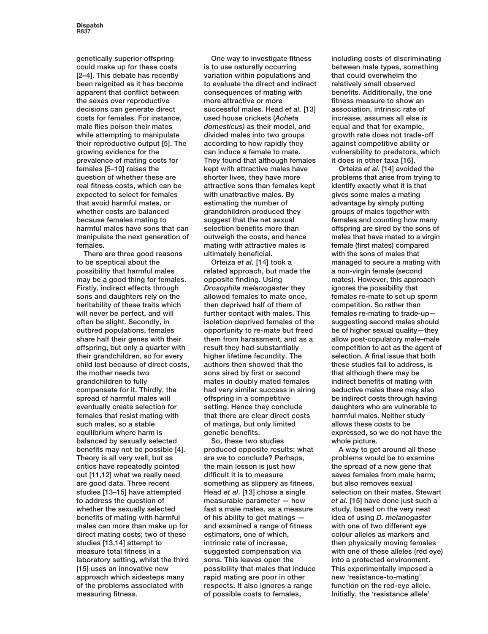**genetically superior offspring could make up for these costs [2–4]. This debate has recently been reignited as it has become apparent that conflict between the sexes over reproductive decisions can generate direct costs for females. For instance, male flies poison their mates while attempting to manipulate their reproductive output [5]. The growing evidence for the prevalence of mating costs for females [5–10] raises the question of whether these are real fitness costs, which can be expected to select for females that avoid harmful mates, or whether costs are balanced because females mating to harmful males have sons that can manipulate the next generation of females.**

**There are three good reasons to be sceptical about the possibility that harmful males may be a good thing for females. Firstly, indirect effects through sons and daughters rely on the heritability of these traits which will never be perfect, and will often be slight. Secondly, in outbred populations, females share half their genes with their offspring, but only a quarter with their grandchildren, so for every child lost because of direct costs, the mother needs two grandchildren to fully compensate for it. Thirdly, the spread of harmful males will eventually create selection for females that resist mating with such males, so a stable equilibrium where harm is balanced by sexually selected benefits may not be possible [4]. Theory is all very well, but as critics have repeatedly pointed out [11,12] what we really need are good data. Three recent studies [13–15] have attempted to address the question of whether the sexually selected benefits of mating with harmful males can more than make up for direct mating costs; two of these studies [13,14] attempt to measure total fitness in a laboratory setting, whilst the third [15] uses an innovative new approach which sidesteps many of the problems associated with measuring fitness.**

**One way to investigate fitness is to use naturally occurring variation within populations and to evaluate the direct and indirect consequences of mating with more attractive or more successful males. Head** *et al.* **[13] used house crickets (***Acheta domesticus)* **as their model, and divided males into two groups according to how rapidly they can induce a female to mate. They found that although females kept with attractive males have shorter lives, they have more attractive sons than females kept with unattractive males. By estimating the number of grandchildren produced they suggest that the net sexual selection benefits more than outweigh the costs, and hence mating with attractive males is ultimately beneficial.** 

**Orteiza** *et al.* **[14] took a related approach, but made the opposite finding. Using** *Drosophila melanogaster* **they allowed females to mate once, then deprived half of them of further contact with males. This isolation deprived females of the opportunity to re-mate but freed them from harassment, and as a result they had substantially higher lifetime fecundity. The authors then showed that the sons sired by first or second mates in doubly mated females had very similar success in siring offspring in a competitive setting. Hence they conclude that there are clear direct costs of matings, but only limited genetic benefits.** 

**So, these two studies produced opposite results: what are we to conclude? Perhaps, the main lesson is just how difficult it is to measure something as slippery as fitness. Head** *et al***. [13] chose a single measurable parameter — how fast a male mates, as a measure of his ability to get matings and examined a range of fitness estimators, one of which, intrinsic rate of increase, suggested compensation via sons. This leaves open the possibility that males that induce rapid mating are poor in other respects. It also ignores a range of possible costs to females,**

**including costs of discriminating between male types, something that could overwhelm the relatively small observed benefits. Additionally, the one fitness measure to show an association, intrinsic rate of increase, assumes all else is equal and that for example, growth rate does not trade-off against competitive ability or vulnerability to predators, which it does in other taxa [16].** 

**Orteiza** *et al.* **[14] avoided the problems that arise from trying to identify exactly what it is that gives some males a mating advantage by simply putting groups of males together with females and counting how many offspring are sired by the sons of males that have mated to a virgin female (first mates) compared with the sons of males that managed to secure a mating with a non-virgin female (second mates). However, this approach ignores the possibility that females re-mate to set up sperm competition. So rather than females re-mating to trade-up suggesting second males should be of higher sexual quality—they allow post-copulatory male–male competition to act as the agent of selection. A final issue that both these studies fail to address, is that although there may be indirect benefits of mating with seductive males there may also be indirect costs through having daughters who are vulnerable to harmful males. Neither study allows these costs to be expressed, so we do not have the whole picture.**

**A way to get around all these problems would be to examine the spread of a new gene that saves females from male harm, but also removes sexual selection on their mates. Stewart** *et al***. [15] have done just such a study, based on the very neat idea of using** *D. melanogaster* **with one of two different eye colour alleles as markers and then physically moving females with one of these alleles (red eye) into a protected environment. This experimentally imposed a new 'resistance-to-mating' function on the red-eye allele. Initially, the 'resistance allele'**